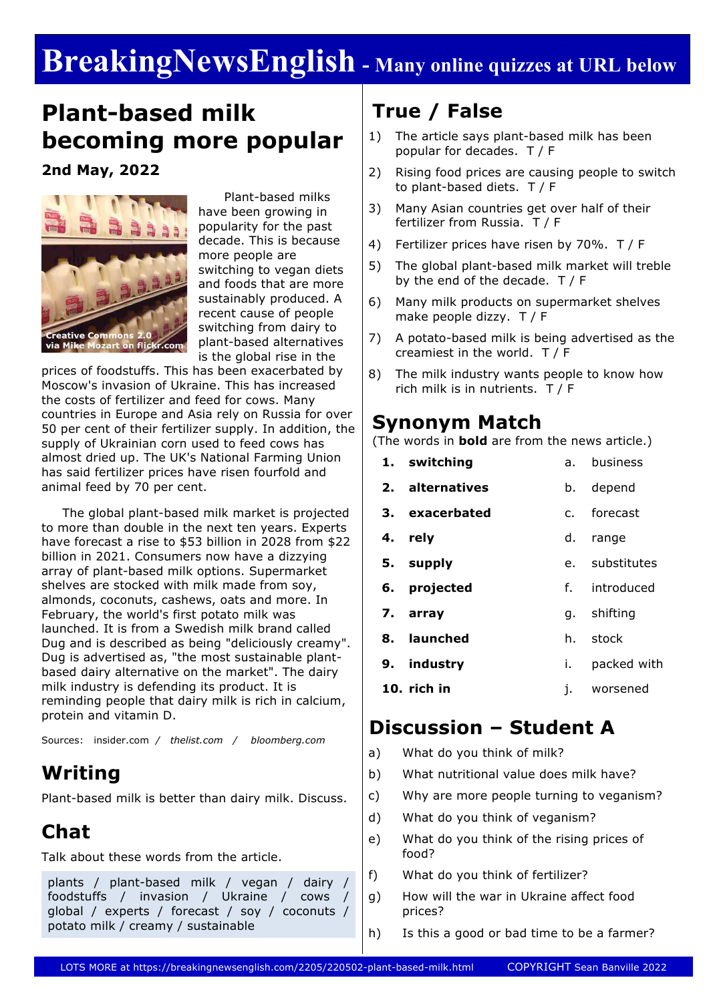# **BreakingNewsEnglish - Many online quizzes at URL below**

# **Plant-based milk becoming more popular**

**2nd May, 2022**



 Plant-based milks have been growing in popularity for the past decade. This is because more people are switching to vegan diets and foods that are more sustainably produced. A recent cause of people switching from dairy to plant-based alternatives is the global rise in the

prices of foodstuffs. This has been exacerbated by Moscow's invasion of Ukraine. This has increased the costs of fertilizer and feed for cows. Many countries in Europe and Asia rely on Russia for over 50 per cent of their fertilizer supply. In addition, the supply of Ukrainian corn used to feed cows has almost dried up. The UK's National Farming Union has said fertilizer prices have risen fourfold and animal feed by 70 per cent.

 The global plant-based milk market is projected to more than double in the next ten years. Experts have forecast a rise to \$53 billion in 2028 from \$22 billion in 2021. Consumers now have a dizzying array of plant-based milk options. Supermarket shelves are stocked with milk made from soy, almonds, coconuts, cashews, oats and more. In February, the world's first potato milk was launched. It is from a Swedish milk brand called Dug and is described as being "deliciously creamy". Dug is advertised as, "the most sustainable plantbased dairy alternative on the market". The dairy milk industry is defending its product. It is reminding people that dairy milk is rich in calcium, protein and vitamin D.

Sources: insider.com */ thelist.com / bloomberg.com*

## **Writing**

Plant-based milk is better than dairy milk. Discuss.

# **Chat**

Talk about these words from the article.

plants / plant-based milk / vegan / dairy / foodstuffs / invasion / Ukraine / cows / global / experts / forecast / soy / coconuts / potato milk / creamy / sustainable

# **True / False**

- 1) The article says plant-based milk has been popular for decades. T / F
- 2) Rising food prices are causing people to switch to plant-based diets. T / F
- 3) Many Asian countries get over half of their fertilizer from Russia. T / F
- 4) Fertilizer prices have risen by 70%. T / F
- 5) The global plant-based milk market will treble by the end of the decade. T / F
- 6) Many milk products on supermarket shelves make people dizzy. T / F
- 7) A potato-based milk is being advertised as the creamiest in the world. T / F
- 8) The milk industry wants people to know how rich milk is in nutrients. T / F

### **Synonym Match**

(The words in **bold** are from the news article.)

| 1. switching    | business<br>а. –    |
|-----------------|---------------------|
| 2. alternatives | depend<br>b.        |
| 3. exacerbated  | c. forecast         |
| 4. rely         | d.<br>range         |
| 5. supply       | e. substitutes      |
| 6. projected    | f. introduced       |
|                 |                     |
| 7. array        | g. shifting         |
| 8. launched     | stock<br>h.         |
| 9. industry     | packed with<br>i. – |
| $10.$ rich in   | worsened<br>ı.      |

#### **Discussion – Student A**

- a) What do you think of milk?
- b) What nutritional value does milk have?
- c) Why are more people turning to veganism?
- d) What do you think of veganism?
- e) What do you think of the rising prices of food?
- f) What do you think of fertilizer?
- g) How will the war in Ukraine affect food prices?
- h) Is this a good or bad time to be a farmer?